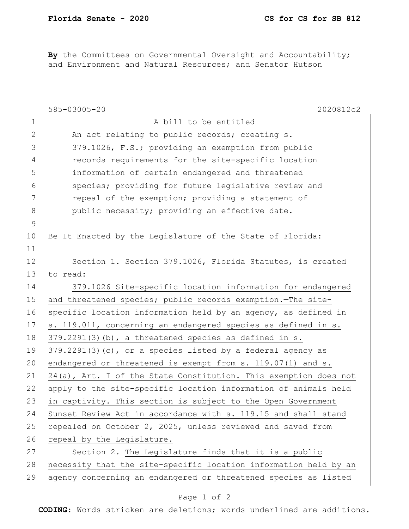By the Committees on Governmental Oversight and Accountability; and Environment and Natural Resources; and Senator Hutson

|               | 585-03005-20<br>2020812c2                                        |
|---------------|------------------------------------------------------------------|
| $\mathbf 1$   | A bill to be entitled                                            |
| 2             | An act relating to public records; creating s.                   |
| 3             | 379.1026, F.S.; providing an exemption from public               |
| 4             | records requirements for the site-specific location              |
| 5             | information of certain endangered and threatened                 |
| 6             | species; providing for future legislative review and             |
| 7             | repeal of the exemption; providing a statement of                |
| $8\,$         | public necessity; providing an effective date.                   |
| $\mathcal{G}$ |                                                                  |
| 10            | Be It Enacted by the Legislature of the State of Florida:        |
| 11            |                                                                  |
| 12            | Section 1. Section 379.1026, Florida Statutes, is created        |
| 13            | to read:                                                         |
| 14            | 379.1026 Site-specific location information for endangered       |
| 15            | and threatened species; public records exemption. The site-      |
| 16            | specific location information held by an agency, as defined in   |
| 17            | s. 119.011, concerning an endangered species as defined in s.    |
| 18            | $379.2291(3)$ (b), a threatened species as defined in s.         |
| 19            | $379.2291(3)$ (c), or a species listed by a federal agency as    |
| 20            | endangered or threatened is exempt from s. 119.07(1) and s.      |
| 21            | 24(a), Art. I of the State Constitution. This exemption does not |
| 22            | apply to the site-specific location information of animals held  |
| 23            | in captivity. This section is subject to the Open Government     |
| 24            | Sunset Review Act in accordance with s. 119.15 and shall stand   |
| 25            | repealed on October 2, 2025, unless reviewed and saved from      |
| 26            | repeal by the Legislature.                                       |
| 27            | Section 2. The Legislature finds that it is a public             |
| 28            | necessity that the site-specific location information held by an |
| 29            | agency concerning an endangered or threatened species as listed  |

## Page 1 of 2

**CODING**: Words stricken are deletions; words underlined are additions.